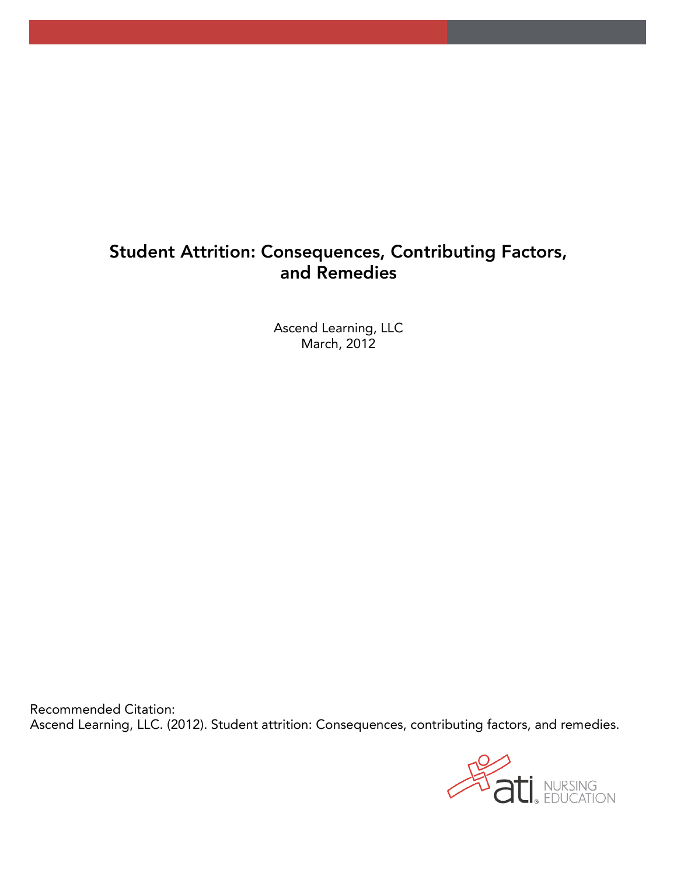# **Student Attrition: Consequences, Contributing Factors, and Remedies**

 $March$  2012 March, 2012

Recommended Citation.  $\mathcal{L}$ 

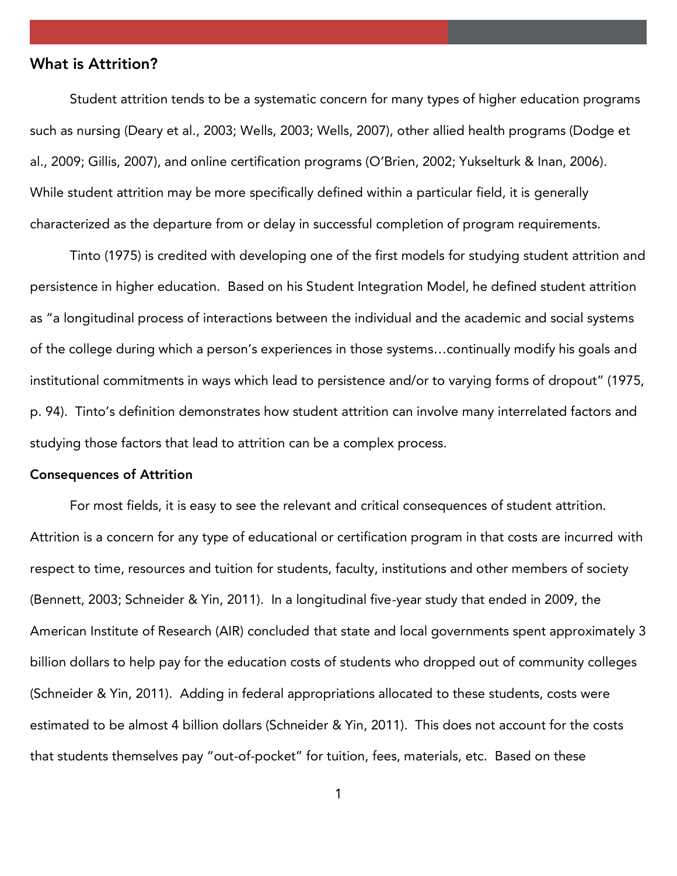# **What is Attrition?**

Student attrition tends to be a systematic concern for many types of higher education programs such as nursing (Deary et al., 2003; Wells, 2003; Wells, 2007), other allied health programs (Dodge et al., 2009; Gillis, 2007), and online certification programs (O'Brien, 2002; Yukselturk & Inan, 2006). While student attrition may be more specifically defined within a particular field, it is generally characterized as the departure from or delay in successful completion of program requirements.

Tinto (1975) is credited with developing one of the first models for studying student attrition and persistence in higher education. Based on his Student Integration Model, he defined student attrition as "a longitudinal process of interactions between the individual and the academic and social systems of the college during which a person's experiences in those systems…continually modify his goals and institutional commitments in ways which lead to persistence and/or to varying forms of dropout" (1975, p. 94). Tinto's definition demonstrates how student attrition can involve many interrelated factors and  $\mathbf{S}$  studies that leads that leads the attribution can be a complex process.

### **Consequences of Attrition**

For most fields, it is easy to see the relevant and critical consequences of student attrition. Attrition is a concern for any type of educational or certification program in that costs are incurred with respect to time, resources and tuition for students, faculty, institutions and other members of society (Bennett, 2003; Schneider  $\gamma$  in  $\gamma$  and  $\gamma$  and  $\gamma$  and  $\gamma$  in 2009, the ended in  $\gamma$ American Institute of Research (AIR) concluded that state and local governments spent approximately 3 billion dollars to help pay for the education costs of students who dropped out of community colleges  $\mathcal{L}$  and  $\mathcal{L}$  and  $\mathcal{L}$  and  $\mathcal{L}$  appropriations allocated to the these studients, costs were studients, costs were studients, costs were studients, costs were studients, costs were studients, costs were stu estimated to be almost 4 billion dollars (Schneider & Yin, 2011). This does not account for the costs that students themselves pay "out-of-pocket" for tuition, fees, materials, etc. Based on these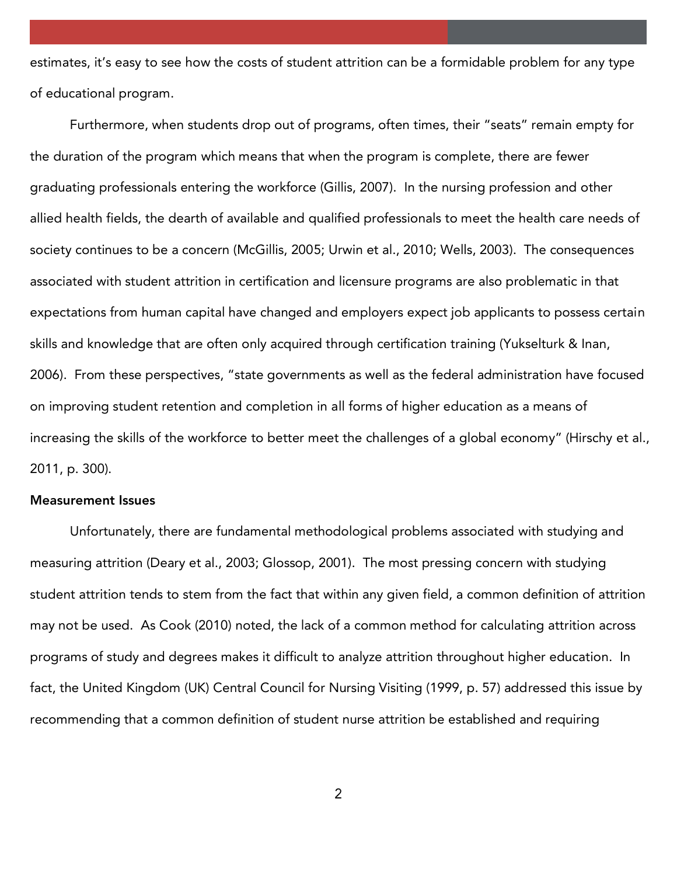estimates, it's easy to see how the costs of student attrition can be a formidable problem for any type of educational program.

Furthermore, when students drop out of programs, often times, their "seats" remain empty for  $t_{\rm max}$  the duration of the program which means that  $\frac{1}{2}$  is complete, the are fewerer are fewerer are fewerer are fewerer are fewerer are fewerer are fewerer are fewerer are fewerer are fewerer are fewerer are fewe graduating professionals entering the workforce (Gillis, 2007). In the nursing profession and other allied health fields, the dearth of available and qualified professionals to meet the health care needs of society continues to be a concern (McGillis),  $\frac{1}{2}$  and  $\frac{1}{2}$  alleged  $\frac{1}{2}$  and  $\frac{1}{2}$  and  $\frac{1}{2}$  and  $\frac{1}{2}$  and  $\frac{1}{2}$  and  $\frac{1}{2}$  and  $\frac{1}{2}$  and  $\frac{1}{2}$  and  $\frac{1}{2}$  and  $\frac{1}{2}$  and  $\frac$ associated with student attrition in certification and licensure programs are also problematic in that expectations from human capital have changed and employers expect job applicants to possess certain skills and knowledge that are often only acquired through certification training (Yukselturk & Inan, 2006). From these perspectives, "state governments as well as the federal administration have focused on improving student retention and completion in all forms of higher education as a means of increasing the skills of the workforce to better meet the challenges of a global economy" (Hirschy et al., 2011, p. 300).

### **Measurement Issues**

Unfortunately, there are fundamental methodological problems associated with studying and measuring attrition (Deary et al., 2003; Glossop, 2001). The most pressing concern with studying student attrition tends to stem from the fact that within any given field, a common definition of attrition may not be used. As Cook (2010) noted, the lack of a common method for calculating attrition across programs of study and degrees makes it difficult to analyze attrition throughout higher education. In fact, the United Kingdom (UK) Central Council for Nursing Visiting (1999, p. 57) addressed this issue by recommending that a common definition of student nurse attrition be established and requiring

 $\overline{2}$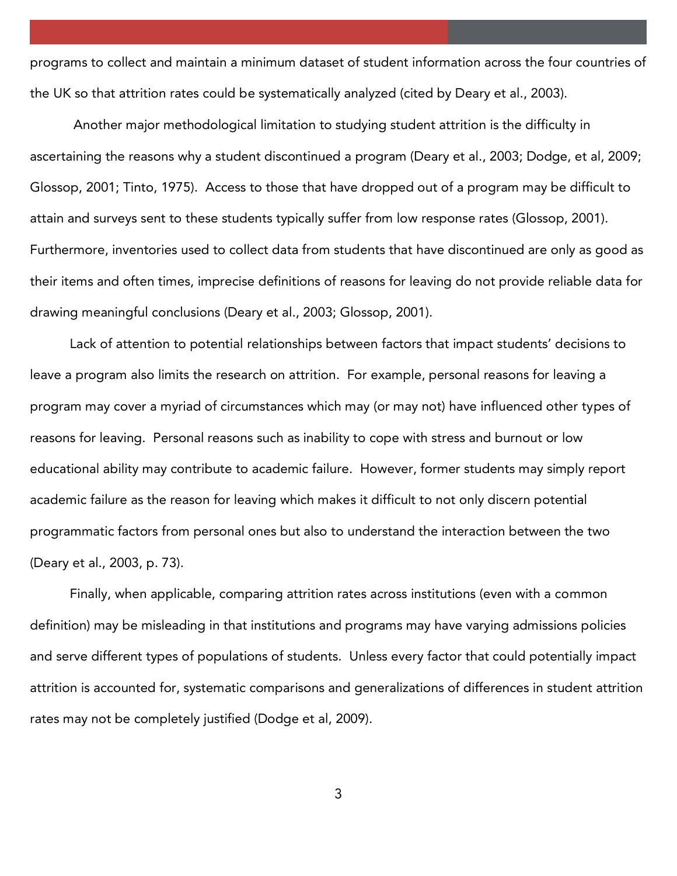programs to collect and maintain a minimum dataset of student information across the four countries of the UK so that attrition rates could be systematically analyzed (cited by Deary et al., 2003).

Another major methodological limitation to studying student attrition is the difficulty in as certaining the reasons who are a program (Deary et al, 2003; Dodge, et al., 2003; Dodge, et al., 2003; Dodge, et al., 2009; Dodge, et al., 2009; Dodge, et al., 2009; Dodge, et al., 2009; Dodge, et al., 2009; Dodge, et a Glossop, 2001; Tinto, 1975). Access to those that have dropped out of a program may be difficult to attain and surveys sent to these students typically suffer from low response rates (Glossop, 2001). Furthermore, inventories used to collect data from students that have discontinued are only as good as their items and often times, imprecise definitions of reasons for leaving do not provide reliable data for drawing meaningful conclusions (Deary et al., 2003; Glossop, 2001).

Lack of attention to potential relationships between factors that impact students' decisions to leave a program also limits the research on attrition. For example, personal reasons for leaving a program may cover a myriad of circumstances which may (or may not) have influenced other types of reasons for leaving. Personal reasons such as inability to cope with stress and burnout or low educational ability may contribute to academic failure. However, former students may simply report academic failure as the reason for leaving which makes it difficult to not only discern potential programmatic factors from personal ones but also to understand the interaction between the two  $\sum_{i=1}^{n}$ 

Finally, when applicable, comparing attrition rates across institutions (even with a common definition) may be misleading in that institutions and programs may have varying admissions policies and serve different types of populations of students. Unless every factor that could potentially impact attrition is accounted for, systematic comparisons and generalizations of differences in student attrition rates may not be completely justified (Dodge et al, 2009).

3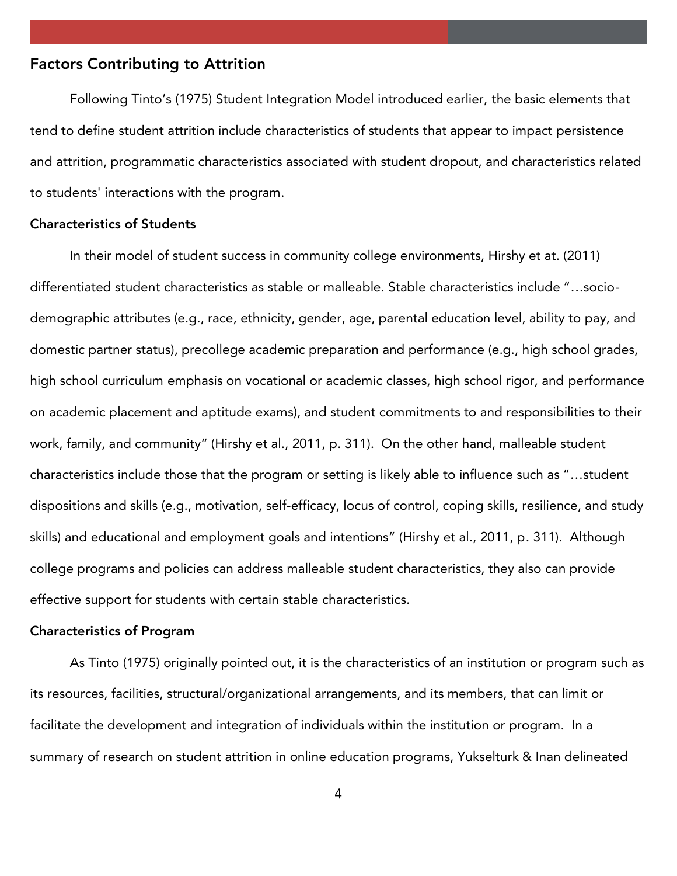### **Factors Contributing to Attrition**

Following Tinto's (1975) Student Integration Model introduced earlier, the basic elements that tend to define student attrition include characteristics of students that appear to impact persistence and attrition, programmatic characteristics associated with student dropout, and characteristics related to students' interactions with the program.

## **Characteristics of Students**

In the success in college environments in computing  $\mathcal{L}_{\mathbf{y}}$  et at. (2011) et at. (2011) differentiated student characteristics as stable or malleable. Stable characteristics include "…sociodemographic attributes (e.g., race, ethnicity, gender, age, parental education level, ability to pay, and domestic partner status), precollege academic preparation and performance (e.g., high school grades, high school curriculum emphasis on vocational or academic classes, high school rigor, and performance on academic placement and aptitude exams), and student commitments to and responsibilities to their work, family, and community" (Hirshy et al., 2011, p. 311). On the other hand, malleable student characteristics include these that the program or setting is likely able to influence such as "…student" dispositions and skills (e.g., motivation, self-efficacy, locus of control, coping skills, resilience, and study skills) and educational and employment goals and intentions" (Hirshy et al., 2011, p. 311). Although college programs and policies can address malleable student characteristics, they also can provide effective support for students with certain stable characteristics.

#### **Characteristics of Program**

As Tinto (1975) originally pointed out, it is the characteristics of an institution or program such as its resources, facilities, structural/organizational arrangements, and its members, that can limit or facilitate the development and integration of individuals within the institution or program. In a summary of research on student attrition in online education programs, Yukselturk & Inan delineated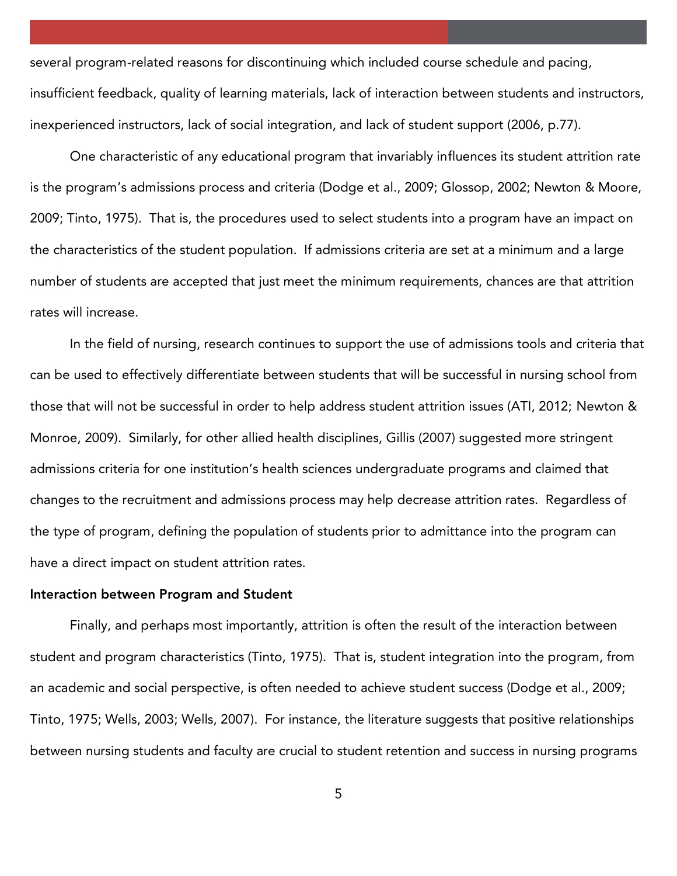several program-related reasons for discontinuing which included course schedule and pacing, insufficient feedback, quality of learning materials, lack of interaction between students and instructors, inexperienced instructors, lack of social integration, and lack of student support (2006, p.77).

One characteristic of any educational program that invariably influences its student attrition rate is the program's admissions process and criteria (Dodge et al., 2009; Glossop, 2002; Newton & Moore, 2009; Tinto, 1975). That is, the procedures used to select students into a program have an impact on the characteristics of the student population. If admissions criteria are set at a minimum and a large number of students are accepted that just meet the minimum requirements, chances are that attrition rates will increase. rates will increase.

In the field of  $\mathcal{I}$  , research continues to support the use of admissions to and criteria that criteria that continues that  $\mathcal{I}$ can be used to effectively differentiate between students that will be successful in nursing school from those that will not be successful in order to help address student attrition issues (ATI, 2012; Newton & Monroe, 2009). Similarly, for other allied health disciplines, Gillis (2007) suggested more stringent admissions criteria for one institution of  $\mathcal{G}$  and  $\mathcal{G}$  and  $\mathcal{G}$  is that claimed that contained that contained that contained that contained that contained that contained that contained the contained that con changes to the recruitment and admissions process may help decrease attrition rates. Regardless of the type of program, defining the population of students prior to admittance into the program can have a direct impact on student attrition rates.

#### **Interaction between Program and Student**

Finally, and perhaps most importantly, attrition is often the result of the interaction between student and program characteristics (Tinto, 1975). That is, student integration into the program, from an academic and social perspective, is often needed to achieve student success (Dodge et al., 2009;  $T_{\text{min}}$  ,  $T_{\text{min}}$  ,  $T_{\text{min}}$  is the literature suggests that positive relationships relationships relationships relationships relationships relationships relationships relationships relationships relationships relati between nursing students and faculty are crucial to student retention and success in nursing programs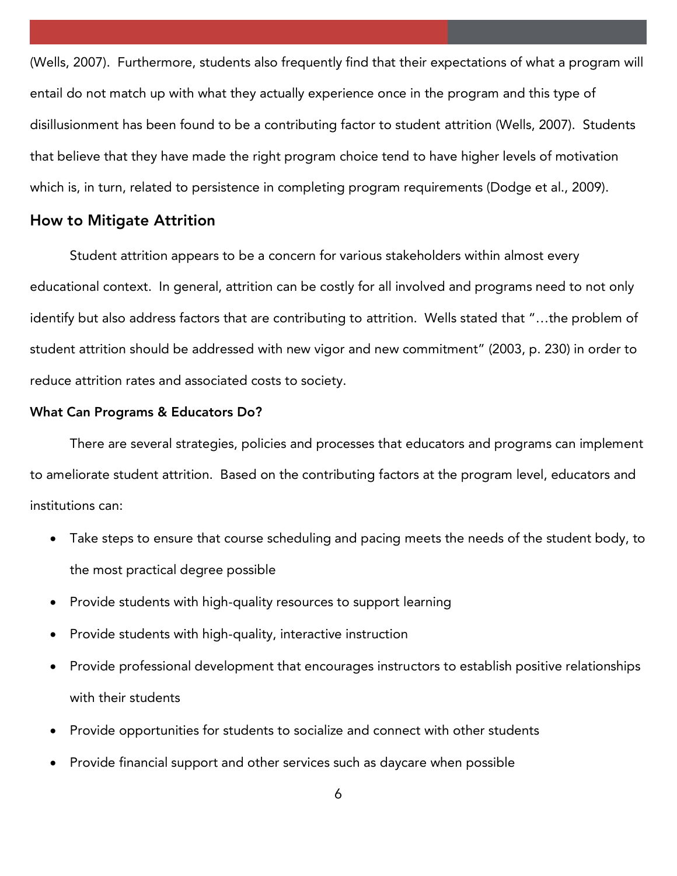(Wells, 2007). Furthermore, students also frequently find that their expectations of what a program will entail do not match up with what they actually experience once in the program and this type of  $\alpha$  and the best contribution to be a contributing factor to student attributing  $\alpha$  . The study  $\alpha$ that believe that they have made the right program choice tend to have higher levels of motivation which is, in turn, related to persistence in completing program requirements (Dodge et al., 2009).

### **How to Mitigate Attrition**

Student attrition appears to be a concern for various stakeholders within almost every educational context. In general, attrition can be costly for all involved and programs need to not only identify but also address factors that are contributing to attrition. Wells stated that "…the problem of student attrition should be addressed with new vigor and new commitment" (2003, p. 230) in order to reduce attrition rates and associated costs to society.

#### **What Can Programs & Educators Do?**

There are several strategies, policies and processes that educators and programs can implement to ameliorate student attrition. Based on the contributing factors at the program level, educators and institutions can:

- Take steps to ensure that course scheduling and pacing meets the needs of the student body, to the most practical degree possible
- Provide students with high-quality resources to support learning
- Provide students with high-quality, interactive instruction
- Provide professional development that encourages instructors to establish positive relationships with their students
- Provide opportunities for students to socialize and connect with other students
- Provide financial support and other services such as daycare when possible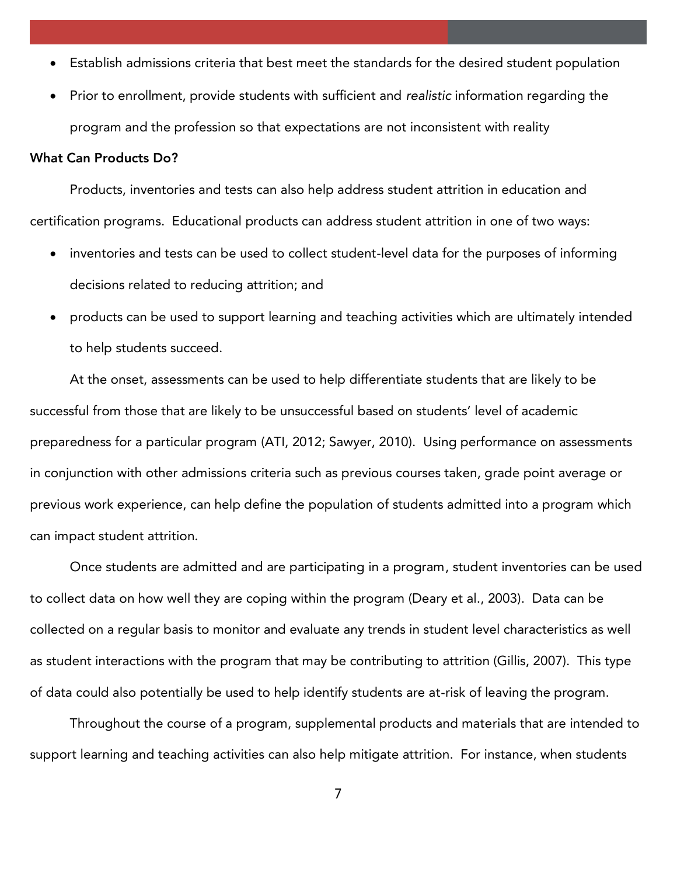- Establish admissions criteria that best meet the standards for the desired student population
- Prior to enrollment, provide students with sufficient and *realistic* information regarding the program and the profession so that expectations are not inconsistent with reality

## **What Can Products Do?**

Products, inventories and tests can also help address student attrition in education and certification programs. Educational products can address student attrition in one of two ways:

- inventories and tests can be used to collect student-level data for the purposes of informing decisions related to reducing attrition; and
- products can be used to support learning and teaching activities which are ultimately intended to help students succeed.

At the onset, assessments can be used to help differentiate students that are likely to be successful from the line  $\mathcal{L}_{\mathbf{y}}$  to be unduclentation that are level on studients preparedness for a particular program (ATI, 2012; Sawyer, 2010). Using performance on assessments in conjunction with other admissions criteria such as previous courses taken, grade point average or previous work experience, can help define the population of students admitted into a program which can impact student attrition.

Once students are admitted and are participating in a program, student inventories can be used  $t_{\rm c}$  are collect data on  $\frac{1}{2}$  are coping with the program (Deary et al., 2003). Data can be collected on a regular basis to monitor and evaluate any trends in student level characteristics as well as student interactions with the program that may be contributing to attrition (Gillis, 2007). This type of data could also potentially be used to help identify students are at-risk of leaving the program.

Throughout the course of a program, supplemental products and materials that are intended to support learning and teaching activities can also help mitigate attrition. For instance, when students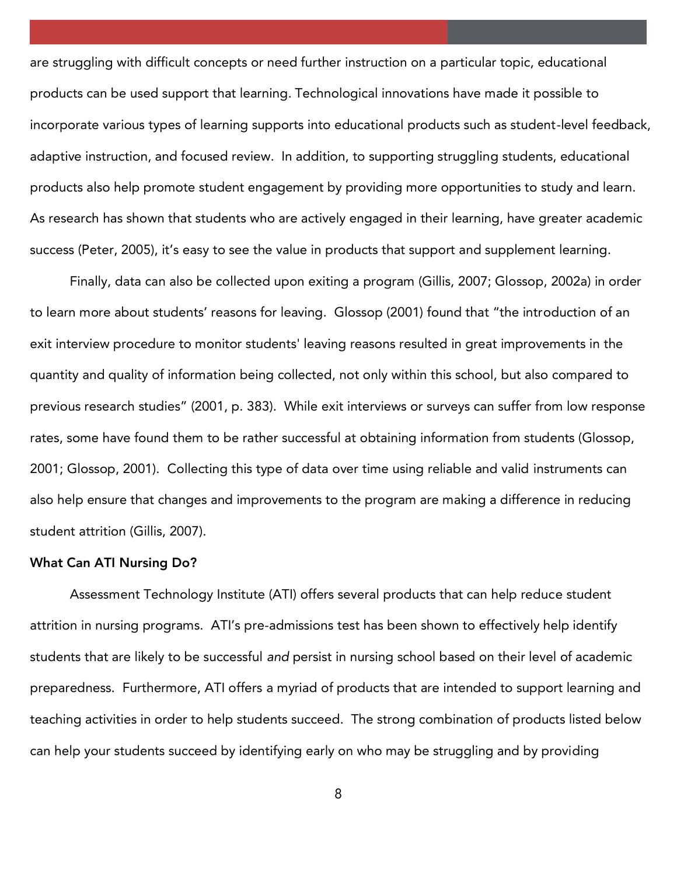are struggling with difficult concepts or need further instruction on a particular topic, educational products can be used support that learning. Technological innovations have made it possible to incorporate various types of learning supports into educational products such as student-level feedback, adaptive instruction, and focused review. In addition, to support  $\frac{1}{2}$  struggling structure struggling structure products also help promote student engagement by providing more opportunities to study and learn. As research has shown that students who are actively engaged in their learning, have greater academic success (Peter, 2005), it is easy to see the value in products that support and supplement learning.

Finally, data can also be collected upon exiting a program (Gillis, 2007; Glossop, 2002a) in order to learn more about students' reasons for leaving. Glossop (2001) found that "the introduction of an exit interview procedure to monitor students' leaving reasons resulted in great improvements in the quantity and quality of information being collected, not only within this school, but also compared to previous research studies" (2001, p. 383). While exit interviews or surveys can suffer from low response rates, some have found them to be rather successful at obtaining information from students (Glossop,  $200$  ). Collecting this type of data over time using reliable and valid instruments can instruments can instruments can instruments can instruments can instruments can instruments can instruments can instruments can inst also help ensure that changes and improvements to the program are making a difference in reducing student attrition (Gillis, 2007).

## **What Can ATI Nursing Do?**

Assessment Technology Institute (ATI) offers several products that can help reduce student attrition in nursing programs. ATI's pre-admissions test has been shown to effectively help identify students that are likely to be successful *and* persist in nursing school based on their level of academic preparedness. Furthermore, ATI offers a myriad of products that are intended to support learning and  $\mathbf{y}$ teaching studies succeed. The strong combination of products listed below  $\mathbf{y}$ can help your students succeed by identifying early on who may be struggling and by providing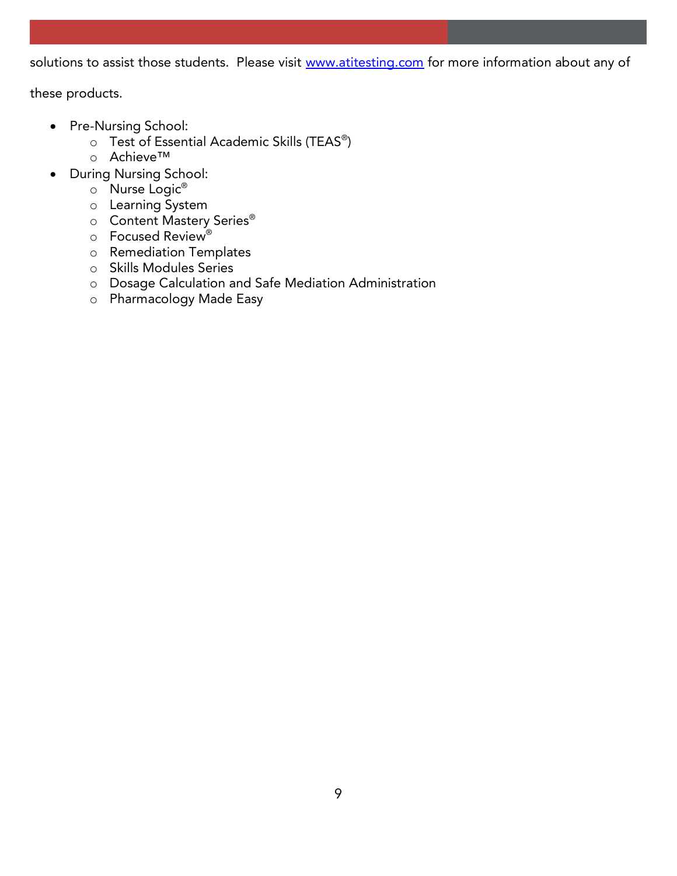solutions to assist those students. Please visit [www.atitesting.com](http://www.atitesting.com/) for more information about any of

these products.

- Pre-Nursing School:
	- o Test of Essential Academic Skills (TEAS®)<br>⊙ Achieve™
	- <sup>o</sup> Achieve™
- During Nursing School:
	- <sup>o</sup> Nurse Logic®
	- <sup>o</sup> Learning System
	- <sup>o</sup> Content Mastery Series®
	- <sup>o</sup> Focused Review®
	- <sup>o</sup> Remediation Templates
	- <sup>o</sup> Skills Modules Series
	- <sup>o</sup> Dosage Calculation and Safe Mediation Administration
	- <sup>o</sup> Pharmacology Made Easy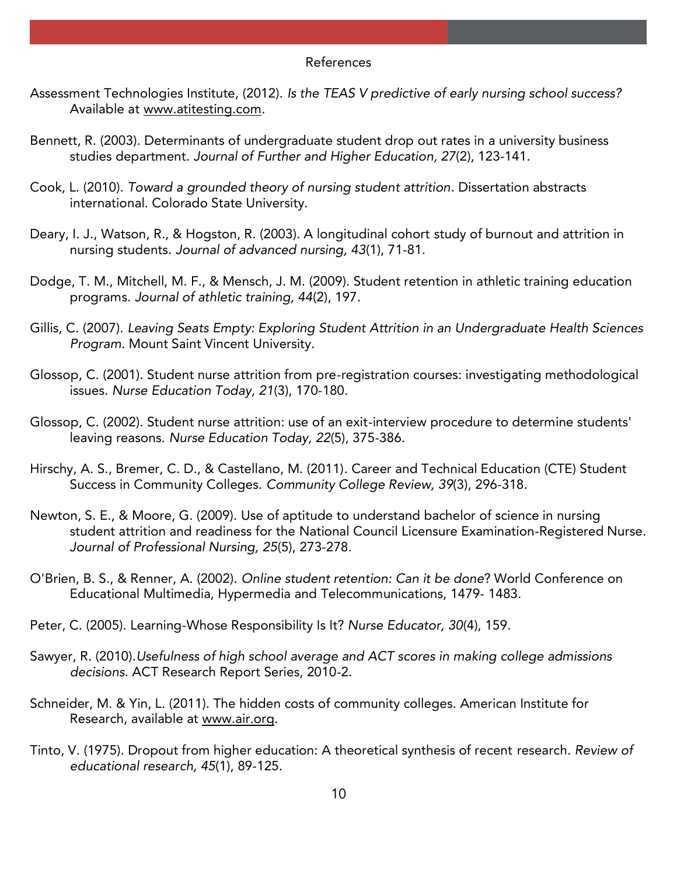#### **References** References

- Available at www.atitesting.com Available at <u>www.atitesting.com.</u>
- Bennett, R. (2003). Determinants of undergraduate student drop out rates in a university business studies department. *Journal of Further and Higher Education, 27*(2), 123-141.
- Cook, L. (2010). *Toward a grounded theory of nursing student attrition*. Dissertation abstracts international. Colorado State University.
- Deary, I. J., Watson, R., & Hogston, R. (2003). A longitudinal cohort study of burnout and attrition in<br>nursing students. Journal of advanced nursing, 43(1), 71-81. nursing students. *Journal of advanced nursing, 43*(1), 71-81.
- Dodge, T. M., Mitchell, M. F., & Mensch, J. M. (2009). Student retention in athletic training education programs. *Journal of athletic training, 44*(2), 197.
- Gillis, C. (2007). *Leaving Seats Empty: Exploring Student Attrition in an Undergraduate Health Sciences Program.* Mount Saint Vincent University.
- Glossop, C. (2001). Student nurse attrition from pre-registration courses: investigating methodological issues. *Nurse Education Today, 21*(3), 170-180.
- Glossop, C. (2002). Student nurse attrition: use of an exit-interview procedure to determine students' leaving reasons. *Nurse Education Today, 22*(5), 375-386.
- $\frac{1}{100}$ , Success in Community Colleges, Community College Review, 39(3), 296-318 Success in Community Colleges. *Community College Review, 39*(3), 296-318.
- Newton, S. E., & Moore, G. (2009). Use of aptitude to understand bachelor of science in nursing student attrition and readiness for the National Council Licensure Examination-Registered Nurse. *Journal of Professional Nursing, 25*(5), 273-278.
- O'Brien, B. S., & Renner, A. (2002). *Online student retention: Can it be done*? World Conference on Educational Multimedia, Hypermedia and Telecommunications, 1479- 1483.
- Peter, C. (2005). Learning-Whose Responsibility Is It? *Nurse Educator, 30*(4), 159.
- Sawyer, R. (2010).*Usefulness of high school average and ACT scores in making college admissions decisions*. ACT Research Report Series, 2010-2.
- Schneider, M. & Yin, L. (201[1\). The hidden](http://www.air.org/) costs of community colleges. American Institute for Research, available at <u>minimizing</u>.
- Tinto, V. (1975). Dropout from higher education: A theoretical synthesis of recent research. *Review of educational research, 45*(1), 89-125.